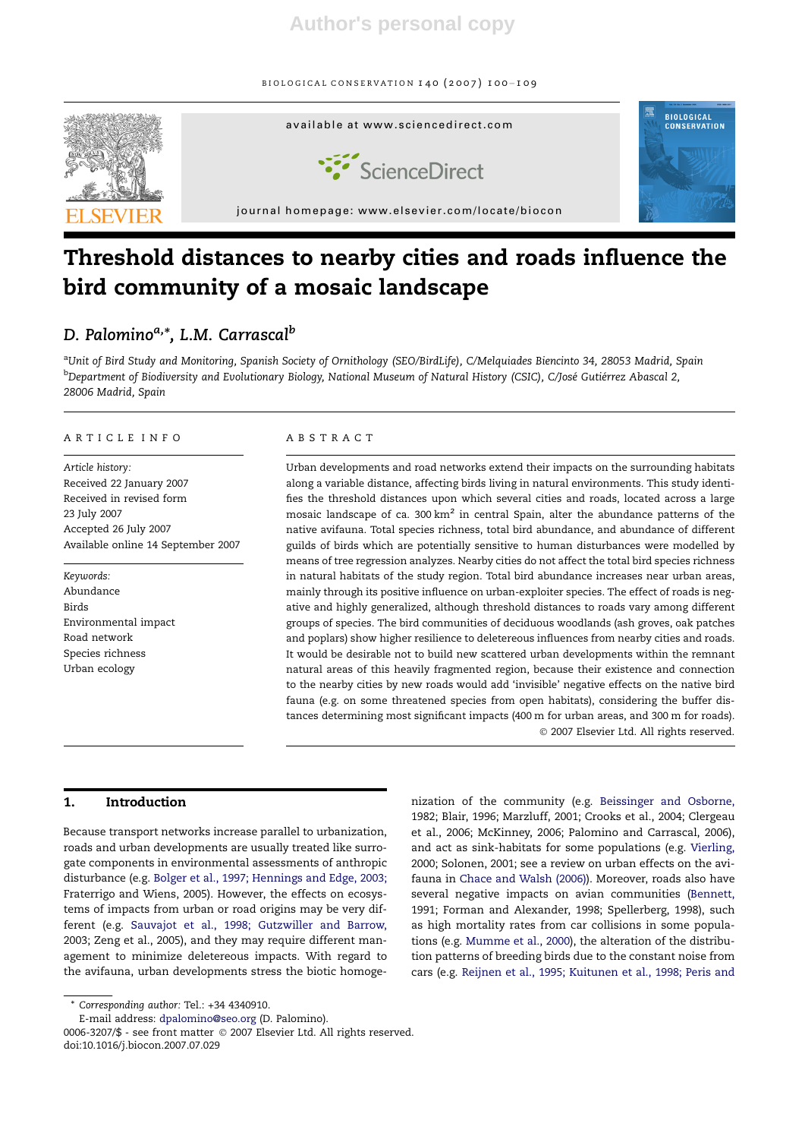

# Threshold distances to nearby cities and roads influence the bird community of a mosaic landscape

# D. Palomino<sup>a,\*</sup>, L.M. Carrascal<sup>b</sup>

<sup>a</sup>Unit of Bird Study and Monitoring, Spanish Society of Ornithology (SEO/BirdLife), C/Melquiades Biencinto 34, 28053 Madrid, Spain <sup>b</sup>Department of Biodiversity and Evolutionary Biology, National Museum of Natural History (CSIC), C/José Gutiérrez Abascal 2, 28006 Madrid, Spain

## ARTICLE INFO

Article history: Received 22 January 2007 Received in revised form 23 July 2007 Accepted 26 July 2007 Available online 14 September 2007

Keywords: Abundance Birds Environmental impact Road network Species richness Urban ecology

# ABSTRACT

Urban developments and road networks extend their impacts on the surrounding habitats along a variable distance, affecting birds living in natural environments. This study identifies the threshold distances upon which several cities and roads, located across a large mosaic landscape of ca. 300 km<sup>2</sup> in central Spain, alter the abundance patterns of the native avifauna. Total species richness, total bird abundance, and abundance of different guilds of birds which are potentially sensitive to human disturbances were modelled by means of tree regression analyzes. Nearby cities do not affect the total bird species richness in natural habitats of the study region. Total bird abundance increases near urban areas, mainly through its positive influence on urban-exploiter species. The effect of roads is negative and highly generalized, although threshold distances to roads vary among different groups of species. The bird communities of deciduous woodlands (ash groves, oak patches and poplars) show higher resilience to deletereous influences from nearby cities and roads. It would be desirable not to build new scattered urban developments within the remnant natural areas of this heavily fragmented region, because their existence and connection to the nearby cities by new roads would add 'invisible' negative effects on the native bird fauna (e.g. on some threatened species from open habitats), considering the buffer distances determining most significant impacts (400 m for urban areas, and 300 m for roads). - 2007 Elsevier Ltd. All rights reserved.

#### 1. Introduction

Because transport networks increase parallel to urbanization, roads and urban developments are usually treated like surrogate components in environmental assessments of anthropic disturbance (e.g. Bolger et al., 1997; Hennings and Edge, 2003; Fraterrigo and Wiens, 2005). However, the effects on ecosystems of impacts from urban or road origins may be very different (e.g. Sauvajot et al., 1998; Gutzwiller and Barrow, 2003; Zeng et al., 2005), and they may require different management to minimize deletereous impacts. With regard to the avifauna, urban developments stress the biotic homogenization of the community (e.g. Beissinger and Osborne, 1982; Blair, 1996; Marzluff, 2001; Crooks et al., 2004; Clergeau et al., 2006; McKinney, 2006; Palomino and Carrascal, 2006), and act as sink-habitats for some populations (e.g. Vierling, 2000; Solonen, 2001; see a review on urban effects on the avifauna in Chace and Walsh (2006)). Moreover, roads also have several negative impacts on avian communities (Bennett, 1991; Forman and Alexander, 1998; Spellerberg, 1998), such as high mortality rates from car collisions in some populations (e.g. Mumme et al., 2000), the alteration of the distribution patterns of breeding birds due to the constant noise from cars (e.g. Reijnen et al., 1995; Kuitunen et al., 1998; Peris and

Corresponding author: Tel.: +34 4340910.

E-mail address: dpalomino@seo.org (D. Palomino).

<sup>0006-3207/\$ -</sup> see front matter © 2007 Elsevier Ltd. All rights reserved. doi:10.1016/j.biocon.2007.07.029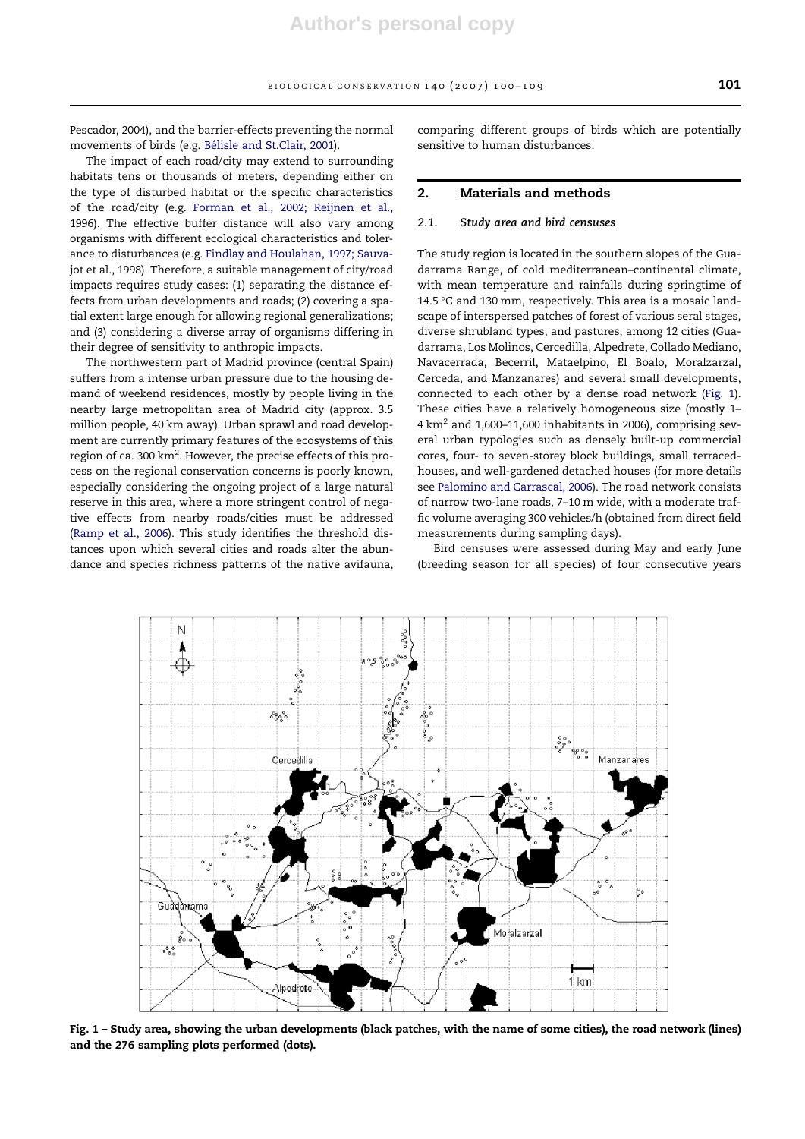Pescador, 2004), and the barrier-effects preventing the normal movements of birds (e.g. Bélisle and St.Clair, 2001).

The impact of each road/city may extend to surrounding habitats tens or thousands of meters, depending either on the type of disturbed habitat or the specific characteristics of the road/city (e.g. Forman et al., 2002; Reijnen et al., 1996). The effective buffer distance will also vary among organisms with different ecological characteristics and tolerance to disturbances (e.g. Findlay and Houlahan, 1997; Sauvajot et al., 1998). Therefore, a suitable management of city/road impacts requires study cases: (1) separating the distance effects from urban developments and roads; (2) covering a spatial extent large enough for allowing regional generalizations; and (3) considering a diverse array of organisms differing in their degree of sensitivity to anthropic impacts.

The northwestern part of Madrid province (central Spain) suffers from a intense urban pressure due to the housing demand of weekend residences, mostly by people living in the nearby large metropolitan area of Madrid city (approx. 3.5 million people, 40 km away). Urban sprawl and road development are currently primary features of the ecosystems of this region of ca. 300  $\text{km}^2$ . However, the precise effects of this process on the regional conservation concerns is poorly known, especially considering the ongoing project of a large natural reserve in this area, where a more stringent control of negative effects from nearby roads/cities must be addressed (Ramp et al., 2006). This study identifies the threshold distances upon which several cities and roads alter the abundance and species richness patterns of the native avifauna, comparing different groups of birds which are potentially sensitive to human disturbances.

#### 2. Materials and methods

#### 2.1. Study area and bird censuses

The study region is located in the southern slopes of the Guadarrama Range, of cold mediterranean–continental climate, with mean temperature and rainfalls during springtime of 14.5  $\degree$ C and 130 mm, respectively. This area is a mosaic landscape of interspersed patches of forest of various seral stages, diverse shrubland types, and pastures, among 12 cities (Guadarrama, Los Molinos, Cercedilla, Alpedrete, Collado Mediano, Navacerrada, Becerril, Mataelpino, El Boalo, Moralzarzal, Cerceda, and Manzanares) and several small developments, connected to each other by a dense road network (Fig. 1). These cities have a relatively homogeneous size (mostly 1–  $4 \text{ km}^2$  and 1,600-11,600 inhabitants in 2006), comprising several urban typologies such as densely built-up commercial cores, four- to seven-storey block buildings, small terracedhouses, and well-gardened detached houses (for more details see Palomino and Carrascal, 2006). The road network consists of narrow two-lane roads, 7–10 m wide, with a moderate traffic volume averaging 300 vehicles/h (obtained from direct field measurements during sampling days).

Bird censuses were assessed during May and early June (breeding season for all species) of four consecutive years



Fig. 1 – Study area, showing the urban developments (black patches, with the name of some cities), the road network (lines) and the 276 sampling plots performed (dots).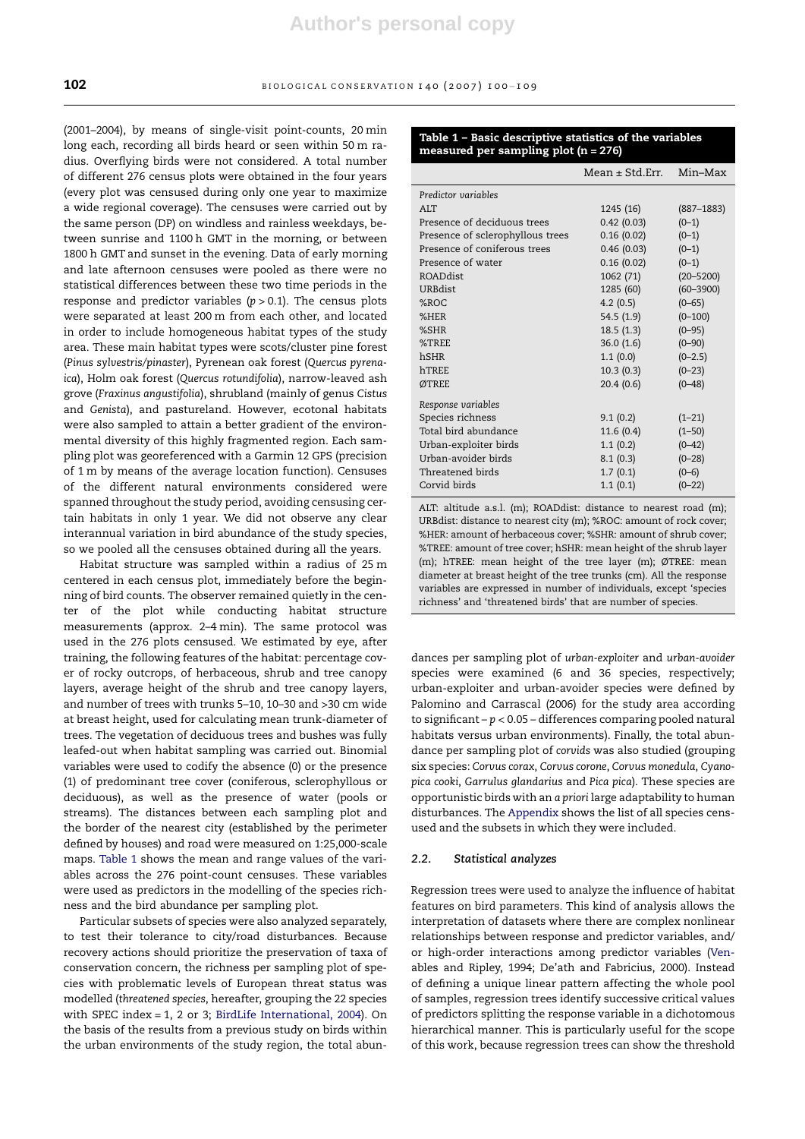(2001–2004), by means of single-visit point-counts, 20 min long each, recording all birds heard or seen within 50 m radius. Overflying birds were not considered. A total number of different 276 census plots were obtained in the four years (every plot was censused during only one year to maximize a wide regional coverage). The censuses were carried out by the same person (DP) on windless and rainless weekdays, between sunrise and 1100 h GMT in the morning, or between 1800 h GMT and sunset in the evening. Data of early morning and late afternoon censuses were pooled as there were no statistical differences between these two time periods in the response and predictor variables  $(p > 0.1)$ . The census plots were separated at least 200 m from each other, and located in order to include homogeneous habitat types of the study area. These main habitat types were scots/cluster pine forest (Pinus sylvestris/pinaster), Pyrenean oak forest (Quercus pyrenaica), Holm oak forest (Quercus rotundifolia), narrow-leaved ash grove (Fraxinus angustifolia), shrubland (mainly of genus Cistus and Genista), and pastureland. However, ecotonal habitats were also sampled to attain a better gradient of the environmental diversity of this highly fragmented region. Each sampling plot was georeferenced with a Garmin 12 GPS (precision of 1 m by means of the average location function). Censuses of the different natural environments considered were spanned throughout the study period, avoiding censusing certain habitats in only 1 year. We did not observe any clear interannual variation in bird abundance of the study species, so we pooled all the censuses obtained during all the years.

Habitat structure was sampled within a radius of 25 m centered in each census plot, immediately before the beginning of bird counts. The observer remained quietly in the center of the plot while conducting habitat structure measurements (approx. 2–4 min). The same protocol was used in the 276 plots censused. We estimated by eye, after training, the following features of the habitat: percentage cover of rocky outcrops, of herbaceous, shrub and tree canopy layers, average height of the shrub and tree canopy layers, and number of trees with trunks 5–10, 10–30 and >30 cm wide at breast height, used for calculating mean trunk-diameter of trees. The vegetation of deciduous trees and bushes was fully leafed-out when habitat sampling was carried out. Binomial variables were used to codify the absence (0) or the presence (1) of predominant tree cover (coniferous, sclerophyllous or deciduous), as well as the presence of water (pools or streams). The distances between each sampling plot and the border of the nearest city (established by the perimeter defined by houses) and road were measured on 1:25,000-scale maps. Table 1 shows the mean and range values of the variables across the 276 point-count censuses. These variables were used as predictors in the modelling of the species richness and the bird abundance per sampling plot.

Particular subsets of species were also analyzed separately, to test their tolerance to city/road disturbances. Because recovery actions should prioritize the preservation of taxa of conservation concern, the richness per sampling plot of species with problematic levels of European threat status was modelled (threatened species, hereafter, grouping the 22 species with SPEC index = 1, 2 or 3; BirdLife International, 2004). On the basis of the results from a previous study on birds within the urban environments of the study region, the total abun-

## Table 1 – Basic descriptive statistics of the variables measured per sampling plot (n = 276)

| $Mean \pm Std.Frr.$ | Min-Max        |
|---------------------|----------------|
|                     |                |
| 1245 (16)           | $(887 - 1883)$ |
| 0.42(0.03)          | $(0-1)$        |
| 0.16(0.02)          | $(0-1)$        |
| 0.46(0.03)          | $(0-1)$        |
| 0.16(0.02)          | $(0-1)$        |
| 1062 (71)           | $(20 - 5200)$  |
| 1285 (60)           | $(60 - 3900)$  |
| 4.2(0.5)            | $(0 - 65)$     |
| 54.5 (1.9)          | $(0 - 100)$    |
| 18.5(1.3)           | $(0 - 95)$     |
| 36.0(1.6)           | $(0 - 90)$     |
| 1.1(0.0)            | $(0-2.5)$      |
| 10.3(0.3)           | $(0 - 23)$     |
| 20.4(0.6)           | $(0 - 48)$     |
|                     |                |
| 9.1(0.2)            | $(1 - 21)$     |
| 11.6 (0.4)          | $(1 - 50)$     |
| 1.1(0.2)            | $(0 - 42)$     |
| 8.1(0.3)            | $(0 - 28)$     |
| 1.7(0.1)            | $(0-6)$        |
| 1.1(0.1)            | $(0 - 22)$     |
|                     |                |

ALT: altitude a.s.l. (m); ROADdist: distance to nearest road (m); URBdist: distance to nearest city (m); %ROC: amount of rock cover; %HER: amount of herbaceous cover; %SHR: amount of shrub cover; %TREE: amount of tree cover; hSHR: mean height of the shrub layer (m); hTREE: mean height of the tree layer (m); ØTREE: mean diameter at breast height of the tree trunks (cm). All the response variables are expressed in number of individuals, except 'species richness' and 'threatened birds' that are number of species.

dances per sampling plot of urban-exploiter and urban-avoider species were examined (6 and 36 species, respectively; urban-exploiter and urban-avoider species were defined by Palomino and Carrascal (2006) for the study area according to significant –  $p < 0.05$  – differences comparing pooled natural habitats versus urban environments). Finally, the total abundance per sampling plot of corvids was also studied (grouping six species: Corvus corax, Corvus corone, Corvus monedula, Cyanopica cooki, Garrulus glandarius and Pica pica). These species are opportunistic birds with an a priori large adaptability to human disturbances. The Appendix shows the list of all species censused and the subsets in which they were included.

#### 2.2. Statistical analyzes

Regression trees were used to analyze the influence of habitat features on bird parameters. This kind of analysis allows the interpretation of datasets where there are complex nonlinear relationships between response and predictor variables, and/ or high-order interactions among predictor variables (Venables and Ripley, 1994; De'ath and Fabricius, 2000). Instead of defining a unique linear pattern affecting the whole pool of samples, regression trees identify successive critical values of predictors splitting the response variable in a dichotomous hierarchical manner. This is particularly useful for the scope of this work, because regression trees can show the threshold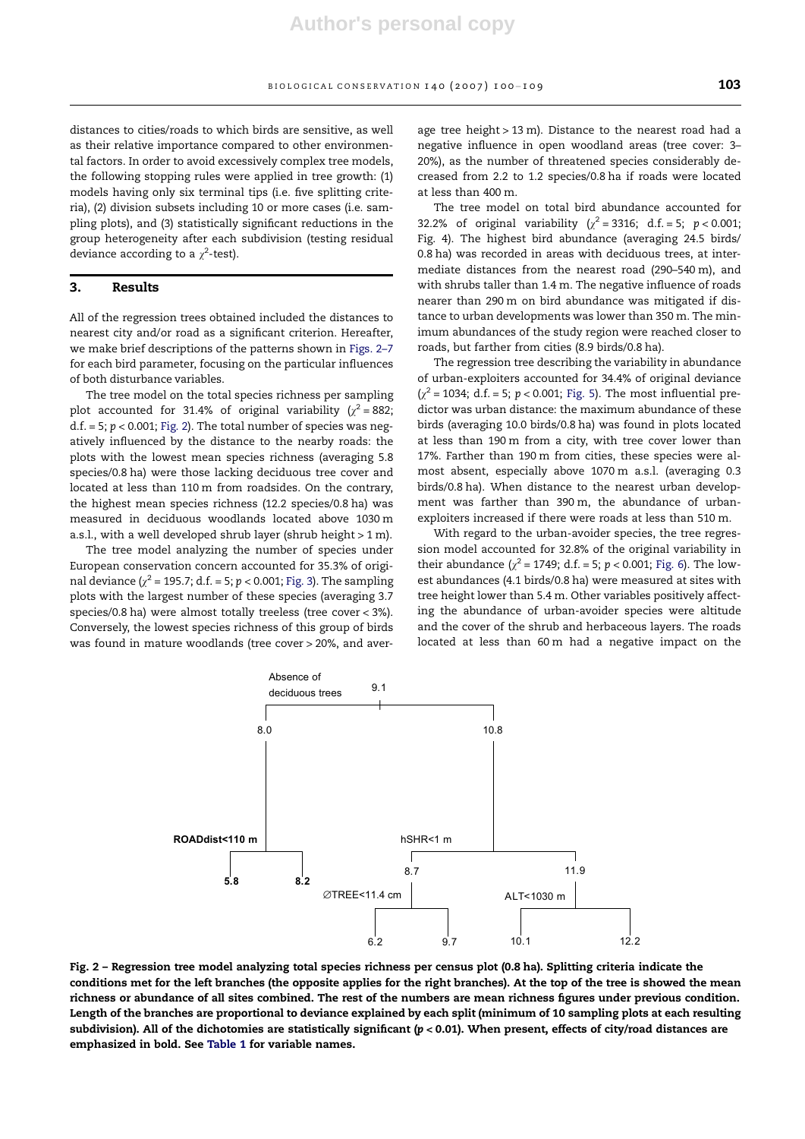distances to cities/roads to which birds are sensitive, as well as their relative importance compared to other environmental factors. In order to avoid excessively complex tree models, the following stopping rules were applied in tree growth: (1) models having only six terminal tips (i.e. five splitting criteria), (2) division subsets including 10 or more cases (i.e. sampling plots), and (3) statistically significant reductions in the group heterogeneity after each subdivision (testing residual deviance according to a  $\chi^2$ -test).

#### 3. Results

All of the regression trees obtained included the distances to nearest city and/or road as a significant criterion. Hereafter, we make brief descriptions of the patterns shown in Figs. 2–7 for each bird parameter, focusing on the particular influences of both disturbance variables.

The tree model on the total species richness per sampling plot accounted for 31.4% of original variability ( $\chi^2$  = 882;  $d.f. = 5; p < 0.001;$  Fig. 2). The total number of species was negatively influenced by the distance to the nearby roads: the plots with the lowest mean species richness (averaging 5.8 species/0.8 ha) were those lacking deciduous tree cover and located at less than 110 m from roadsides. On the contrary, the highest mean species richness (12.2 species/0.8 ha) was measured in deciduous woodlands located above 1030 m a.s.l., with a well developed shrub layer (shrub height > 1 m).

The tree model analyzing the number of species under European conservation concern accounted for 35.3% of original deviance ( $\chi^2$  = 195.7; d.f. = 5; p < 0.001; Fig. 3). The sampling plots with the largest number of these species (averaging 3.7 species/0.8 ha) were almost totally treeless (tree cover < 3%). Conversely, the lowest species richness of this group of birds was found in mature woodlands (tree cover > 20%, and aver-

age tree height > 13 m). Distance to the nearest road had a negative influence in open woodland areas (tree cover: 3– 20%), as the number of threatened species considerably decreased from 2.2 to 1.2 species/0.8 ha if roads were located at less than 400 m.

The tree model on total bird abundance accounted for 32.2% of original variability ( $\chi^2$  = 3316; d.f. = 5; p < 0.001; Fig. 4). The highest bird abundance (averaging 24.5 birds/ 0.8 ha) was recorded in areas with deciduous trees, at intermediate distances from the nearest road (290–540 m), and with shrubs taller than 1.4 m. The negative influence of roads nearer than 290 m on bird abundance was mitigated if distance to urban developments was lower than 350 m. The minimum abundances of the study region were reached closer to roads, but farther from cities (8.9 birds/0.8 ha).

The regression tree describing the variability in abundance of urban-exploiters accounted for 34.4% of original deviance  $(\chi^2 = 1034; d.f. = 5; p < 0.001; Fig. 5)$ . The most influential predictor was urban distance: the maximum abundance of these birds (averaging 10.0 birds/0.8 ha) was found in plots located at less than 190 m from a city, with tree cover lower than 17%. Farther than 190 m from cities, these species were almost absent, especially above 1070 m a.s.l. (averaging 0.3 birds/0.8 ha). When distance to the nearest urban development was farther than 390 m, the abundance of urbanexploiters increased if there were roads at less than 510 m.

With regard to the urban-avoider species, the tree regression model accounted for 32.8% of the original variability in their abundance ( $\chi^2$  = 1749; d.f. = 5; p < 0.001; Fig. 6). The lowest abundances (4.1 birds/0.8 ha) were measured at sites with tree height lower than 5.4 m. Other variables positively affecting the abundance of urban-avoider species were altitude and the cover of the shrub and herbaceous layers. The roads located at less than 60 m had a negative impact on the



Fig. 2 – Regression tree model analyzing total species richness per census plot (0.8 ha). Splitting criteria indicate the conditions met for the left branches (the opposite applies for the right branches). At the top of the tree is showed the mean richness or abundance of all sites combined. The rest of the numbers are mean richness figures under previous condition. Length of the branches are proportional to deviance explained by each split (minimum of 10 sampling plots at each resulting subdivision). All of the dichotomies are statistically significant  $(p < 0.01)$ . When present, effects of city/road distances are emphasized in bold. See Table 1 for variable names.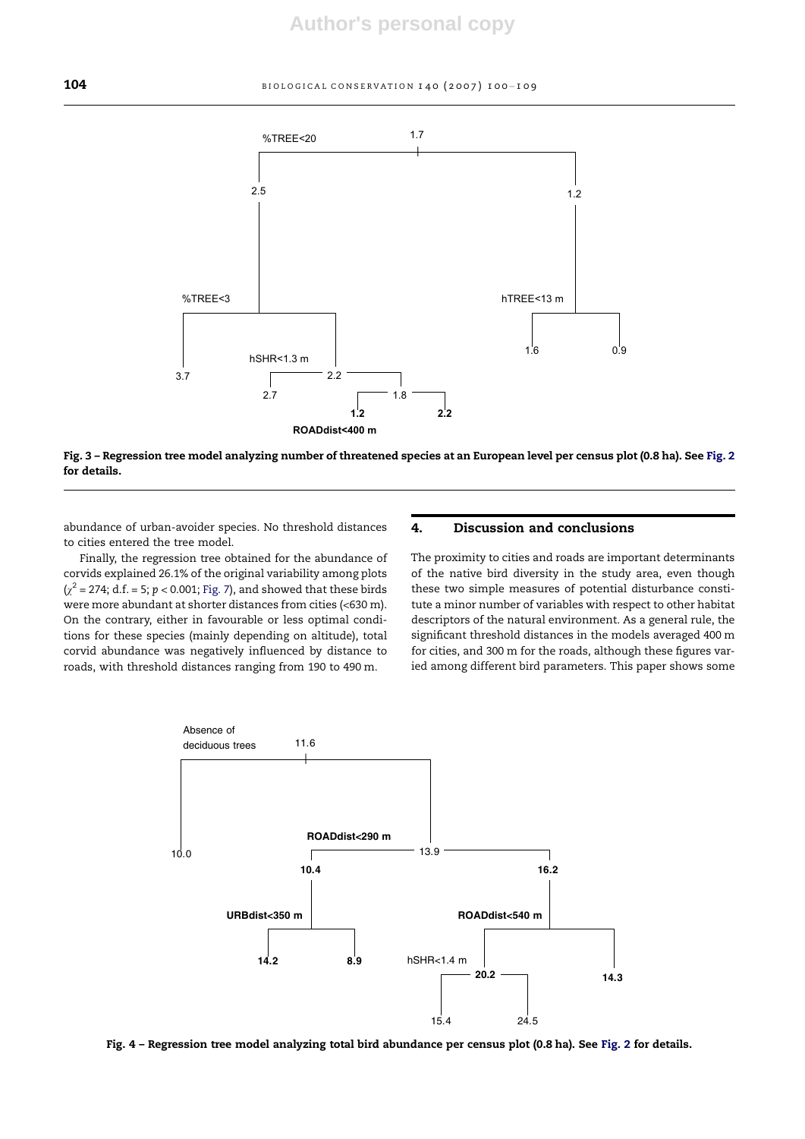

Fig. 3 – Regression tree model analyzing number of threatened species at an European level per census plot (0.8 ha). See Fig. 2 for details.

abundance of urban-avoider species. No threshold distances to cities entered the tree model.

Finally, the regression tree obtained for the abundance of corvids explained 26.1% of the original variability among plots  $(x^2 = 274; d.f. = 5; p < 0.001; Fig. 7)$ , and showed that these birds were more abundant at shorter distances from cities (<630 m). On the contrary, either in favourable or less optimal conditions for these species (mainly depending on altitude), total corvid abundance was negatively influenced by distance to roads, with threshold distances ranging from 190 to 490 m.

# 4. Discussion and conclusions

The proximity to cities and roads are important determinants of the native bird diversity in the study area, even though these two simple measures of potential disturbance constitute a minor number of variables with respect to other habitat descriptors of the natural environment. As a general rule, the significant threshold distances in the models averaged 400 m for cities, and 300 m for the roads, although these figures varied among different bird parameters. This paper shows some



Fig. 4 – Regression tree model analyzing total bird abundance per census plot (0.8 ha). See Fig. 2 for details.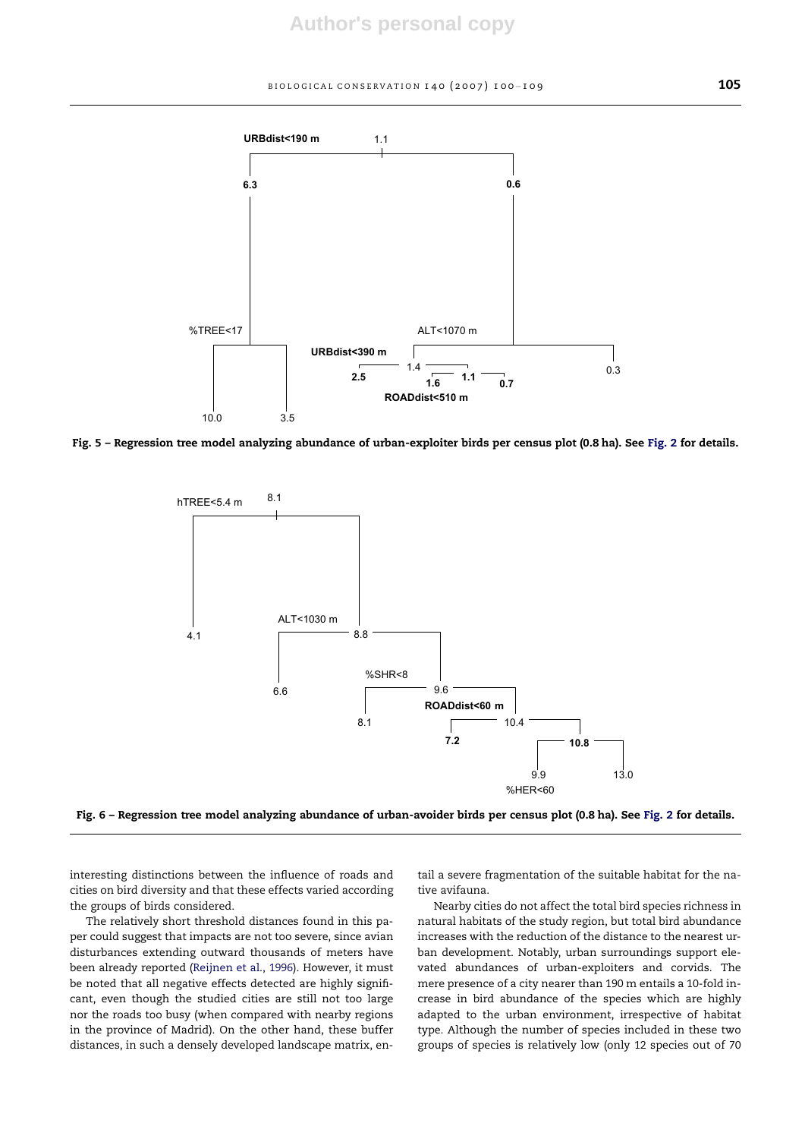

Fig. 5 – Regression tree model analyzing abundance of urban-exploiter birds per census plot (0.8 ha). See Fig. 2 for details.



Fig. 6 – Regression tree model analyzing abundance of urban-avoider birds per census plot (0.8 ha). See Fig. 2 for details.

interesting distinctions between the influence of roads and cities on bird diversity and that these effects varied according the groups of birds considered.

The relatively short threshold distances found in this paper could suggest that impacts are not too severe, since avian disturbances extending outward thousands of meters have been already reported (Reijnen et al., 1996). However, it must be noted that all negative effects detected are highly significant, even though the studied cities are still not too large nor the roads too busy (when compared with nearby regions in the province of Madrid). On the other hand, these buffer distances, in such a densely developed landscape matrix, entail a severe fragmentation of the suitable habitat for the native avifauna.

Nearby cities do not affect the total bird species richness in natural habitats of the study region, but total bird abundance increases with the reduction of the distance to the nearest urban development. Notably, urban surroundings support elevated abundances of urban-exploiters and corvids. The mere presence of a city nearer than 190 m entails a 10-fold increase in bird abundance of the species which are highly adapted to the urban environment, irrespective of habitat type. Although the number of species included in these two groups of species is relatively low (only 12 species out of 70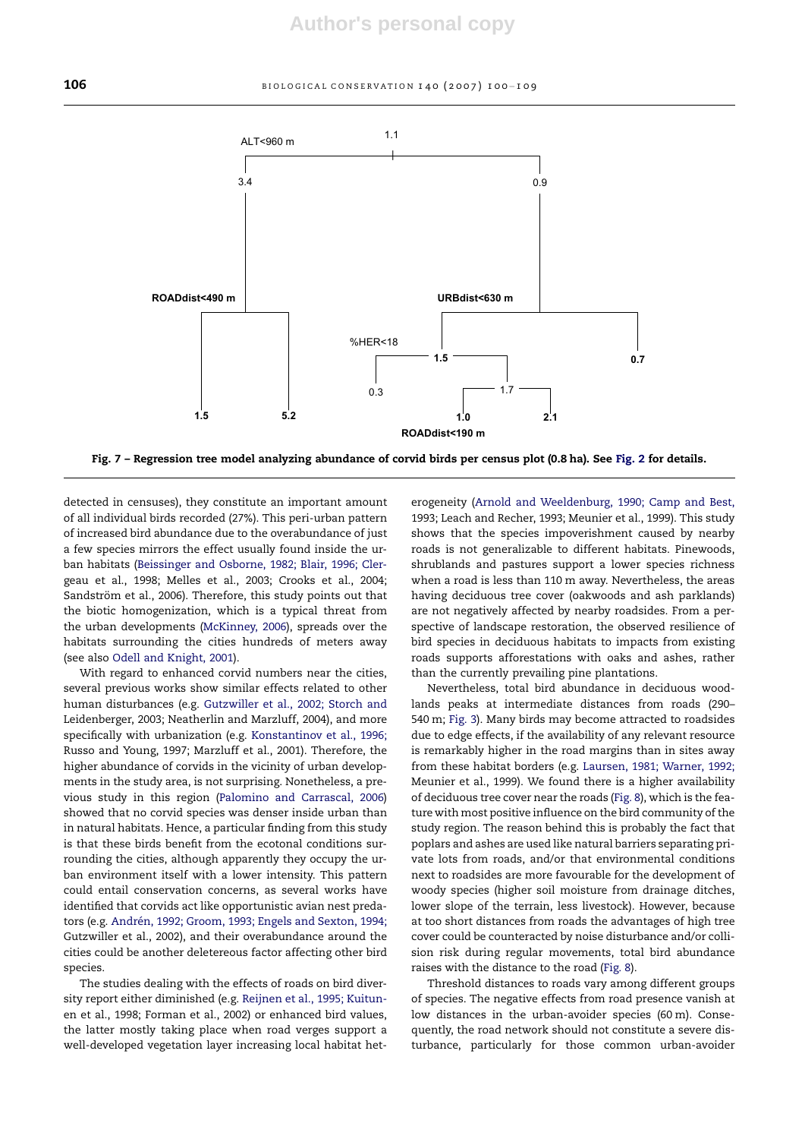

Fig. 7 – Regression tree model analyzing abundance of corvid birds per census plot (0.8 ha). See Fig. 2 for details.

detected in censuses), they constitute an important amount of all individual birds recorded (27%). This peri-urban pattern of increased bird abundance due to the overabundance of just a few species mirrors the effect usually found inside the urban habitats (Beissinger and Osborne, 1982; Blair, 1996; Clergeau et al., 1998; Melles et al., 2003; Crooks et al., 2004; Sandström et al., 2006). Therefore, this study points out that the biotic homogenization, which is a typical threat from the urban developments (McKinney, 2006), spreads over the habitats surrounding the cities hundreds of meters away (see also Odell and Knight, 2001).

With regard to enhanced corvid numbers near the cities, several previous works show similar effects related to other human disturbances (e.g. Gutzwiller et al., 2002; Storch and Leidenberger, 2003; Neatherlin and Marzluff, 2004), and more specifically with urbanization (e.g. Konstantinov et al., 1996; Russo and Young, 1997; Marzluff et al., 2001). Therefore, the higher abundance of corvids in the vicinity of urban developments in the study area, is not surprising. Nonetheless, a previous study in this region (Palomino and Carrascal, 2006) showed that no corvid species was denser inside urban than in natural habitats. Hence, a particular finding from this study is that these birds benefit from the ecotonal conditions surrounding the cities, although apparently they occupy the urban environment itself with a lower intensity. This pattern could entail conservation concerns, as several works have identified that corvids act like opportunistic avian nest predators (e.g. Andrén, 1992; Groom, 1993; Engels and Sexton, 1994; Gutzwiller et al., 2002), and their overabundance around the cities could be another deletereous factor affecting other bird species.

The studies dealing with the effects of roads on bird diversity report either diminished (e.g. Reijnen et al., 1995; Kuitunen et al., 1998; Forman et al., 2002) or enhanced bird values, the latter mostly taking place when road verges support a well-developed vegetation layer increasing local habitat heterogeneity (Arnold and Weeldenburg, 1990; Camp and Best, 1993; Leach and Recher, 1993; Meunier et al., 1999). This study shows that the species impoverishment caused by nearby roads is not generalizable to different habitats. Pinewoods, shrublands and pastures support a lower species richness when a road is less than 110 m away. Nevertheless, the areas having deciduous tree cover (oakwoods and ash parklands) are not negatively affected by nearby roadsides. From a perspective of landscape restoration, the observed resilience of bird species in deciduous habitats to impacts from existing roads supports afforestations with oaks and ashes, rather than the currently prevailing pine plantations.

Nevertheless, total bird abundance in deciduous woodlands peaks at intermediate distances from roads (290– 540 m; Fig. 3). Many birds may become attracted to roadsides due to edge effects, if the availability of any relevant resource is remarkably higher in the road margins than in sites away from these habitat borders (e.g. Laursen, 1981; Warner, 1992; Meunier et al., 1999). We found there is a higher availability of deciduous tree cover near the roads (Fig. 8), which is the feature with most positive influence on the bird community of the study region. The reason behind this is probably the fact that poplars and ashes are used like natural barriers separating private lots from roads, and/or that environmental conditions next to roadsides are more favourable for the development of woody species (higher soil moisture from drainage ditches, lower slope of the terrain, less livestock). However, because at too short distances from roads the advantages of high tree cover could be counteracted by noise disturbance and/or collision risk during regular movements, total bird abundance raises with the distance to the road (Fig. 8).

Threshold distances to roads vary among different groups of species. The negative effects from road presence vanish at low distances in the urban-avoider species (60 m). Consequently, the road network should not constitute a severe disturbance, particularly for those common urban-avoider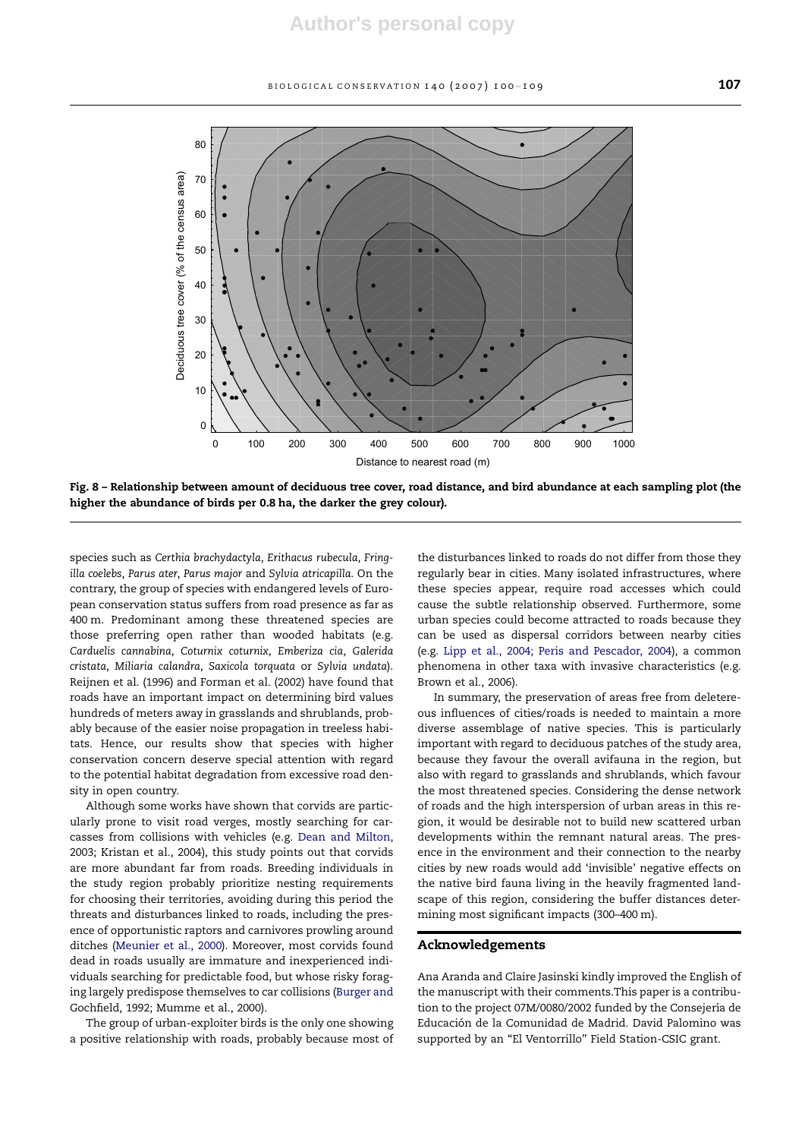

Fig. 8 – Relationship between amount of deciduous tree cover, road distance, and bird abundance at each sampling plot (the higher the abundance of birds per 0.8 ha, the darker the grey colour).

species such as Certhia brachydactyla, Erithacus rubecula, Fringilla coelebs, Parus ater, Parus major and Sylvia atricapilla. On the contrary, the group of species with endangered levels of European conservation status suffers from road presence as far as 400 m. Predominant among these threatened species are those preferring open rather than wooded habitats (e.g. Carduelis cannabina, Coturnix coturnix, Emberiza cia, Galerida cristata, Miliaria calandra, Saxicola torquata or Sylvia undata). Reijnen et al. (1996) and Forman et al. (2002) have found that roads have an important impact on determining bird values hundreds of meters away in grasslands and shrublands, probably because of the easier noise propagation in treeless habitats. Hence, our results show that species with higher conservation concern deserve special attention with regard to the potential habitat degradation from excessive road density in open country.

Although some works have shown that corvids are particularly prone to visit road verges, mostly searching for carcasses from collisions with vehicles (e.g. Dean and Milton, 2003; Kristan et al., 2004), this study points out that corvids are more abundant far from roads. Breeding individuals in the study region probably prioritize nesting requirements for choosing their territories, avoiding during this period the threats and disturbances linked to roads, including the presence of opportunistic raptors and carnivores prowling around ditches (Meunier et al., 2000). Moreover, most corvids found dead in roads usually are immature and inexperienced individuals searching for predictable food, but whose risky foraging largely predispose themselves to car collisions (Burger and Gochfield, 1992; Mumme et al., 2000).

The group of urban-exploiter birds is the only one showing a positive relationship with roads, probably because most of

the disturbances linked to roads do not differ from those they regularly bear in cities. Many isolated infrastructures, where these species appear, require road accesses which could cause the subtle relationship observed. Furthermore, some urban species could become attracted to roads because they can be used as dispersal corridors between nearby cities (e.g. Lipp et al., 2004; Peris and Pescador, 2004), a common phenomena in other taxa with invasive characteristics (e.g. Brown et al., 2006).

In summary, the preservation of areas free from deletereous influences of cities/roads is needed to maintain a more diverse assemblage of native species. This is particularly important with regard to deciduous patches of the study area, because they favour the overall avifauna in the region, but also with regard to grasslands and shrublands, which favour the most threatened species. Considering the dense network of roads and the high interspersion of urban areas in this region, it would be desirable not to build new scattered urban developments within the remnant natural areas. The presence in the environment and their connection to the nearby cities by new roads would add 'invisible' negative effects on the native bird fauna living in the heavily fragmented landscape of this region, considering the buffer distances determining most significant impacts (300–400 m).

#### Acknowledgements

Ana Aranda and Claire Jasinski kindly improved the English of the manuscript with their comments.This paper is a contribution to the project 07M/0080/2002 funded by the Consejería de Educación de la Comunidad de Madrid. David Palomino was supported by an "El Ventorrillo" Field Station-CSIC grant.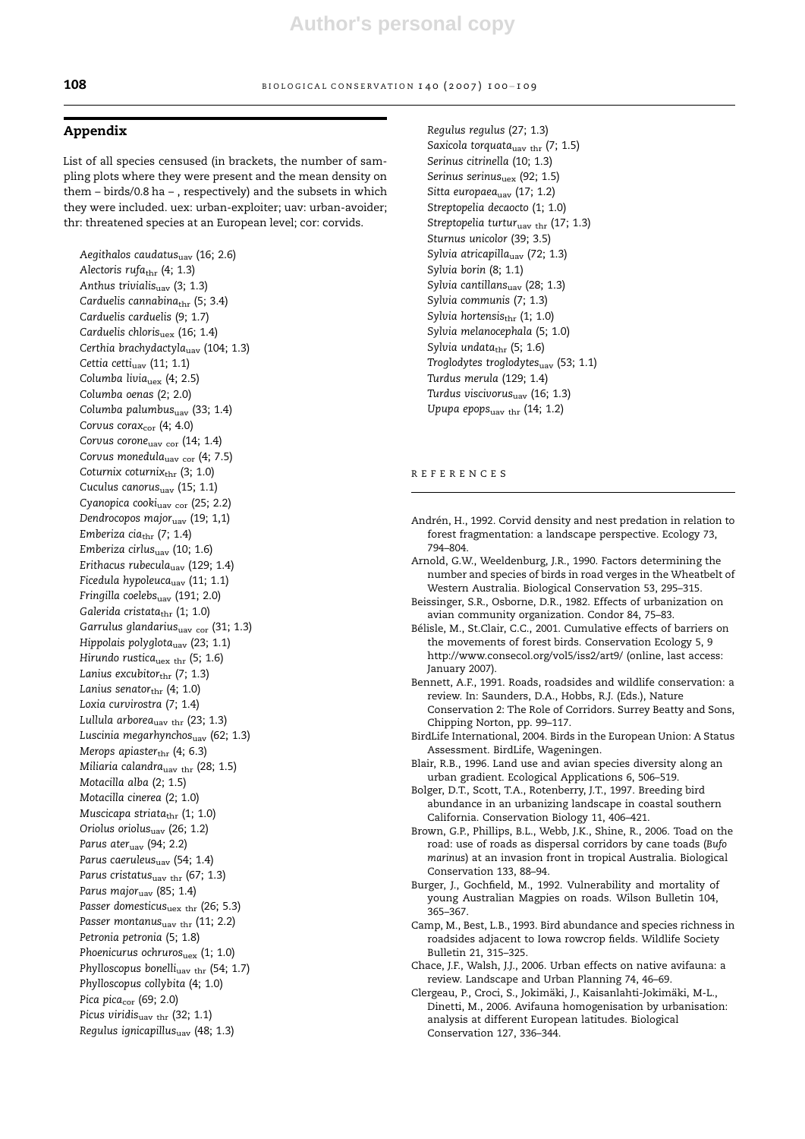# Appendix

List of all species censused (in brackets, the number of sampling plots where they were present and the mean density on them – birds/0.8 ha – , respectively) and the subsets in which they were included. uex: urban-exploiter; uav: urban-avoider; thr: threatened species at an European level; cor: corvids.

Aegithalos caudatusuav (16; 2.6) Alectoris rufathr (4; 1.3) Anthus trivialis $_{\text{uav}}$  (3; 1.3) Carduelis cannabinathr (5; 3.4) Carduelis carduelis (9; 1.7) Carduelis chloris $_{\text{uex}}$  (16; 1.4) Certhia brachydactyla $_{\text{uav}}$  (104; 1.3) Cettia cetti<sub>uav</sub> (11; 1.1) Columba livia<sub>uex</sub> (4; 2.5) Columba oenas (2; 2.0) Columba palumbus $_{\text{uav}}$  (33; 1.4) Corvus cora $x_{cor}$  (4; 4.0) Corvus corone<sub>uav cor</sub> (14; 1.4) Corvus monedula<sub>uav cor</sub> (4; 7.5) Coturnix coturnix $_{\rm thr}$  (3; 1.0) Cuculus canorus<sub>uav</sub> (15; 1.1) Cyanopica cooki<sub>uav cor</sub> (25; 2.2) Dendrocopos majo $r_{\text{uav}}$  (19; 1,1) Emberiza cia $_{\text{thr}}$  (7; 1.4) Emberiza cirlus $_{\text{uav}}$  (10; 1.6) Erithacus rubecula $_{\text{uav}}$  (129; 1.4) Ficedula hypoleuca<sub>uav</sub> (11; 1.1) Fringilla coelebs<sub>uav</sub> (191; 2.0) Galerida cristata $_{\text{thr}}$  (1; 1.0) Garrulus glandarius $_{\text{uav cor}}$  (31; 1.3) Hippolais polyglota<sub>uav</sub> (23; 1.1) Hirundo rustica<sub>uex thr</sub> (5; 1.6) Lanius excubitor $_{\text{thr}}$  (7; 1.3) Lanius senator $_{\text{thr}}$  (4; 1.0) Loxia curvirostra (7; 1.4) Lullula arbore $a_{\text{uav thr}}$  (23; 1.3) Luscinia megarhynchos $_{\text{uav}}$  (62; 1.3) Merops apiaster $_{\text{thr}}$  (4; 6.3) Miliaria calandra<sub>uav thr</sub> (28; 1.5) Motacilla alba (2; 1.5) Motacilla cinerea (2; 1.0) Muscicapa striata $_{\text{thr}}$  (1; 1.0) Oriolus oriolusuav (26; 1.2) Parus ater $_{\text{uav}}$  (94; 2.2) Parus caeruleus<sub>uav</sub> (54; 1.4) Parus cristatus $_{\text{uav thr}}$  (67; 1.3) Parus major $_{\text{uav}}$  (85; 1.4) Passer domesticus<sub>uex thr</sub> (26; 5.3) Passer montanus $_{\text{uav thr}}$  (11; 2.2) Petronia petronia (5; 1.8) Phoenicurus ochruros<sub>uex</sub> (1; 1.0) Phylloscopus bonelli<sub>uav thr</sub> (54; 1.7) Phylloscopus collybita (4; 1.0) Pica pica<sub>cor</sub> (69; 2.0) Picus viridis<sub>uav thr</sub> (32; 1.1) Regulus ignicapillus $_{\text{uav}}$  (48; 1.3)

Regulus regulus (27; 1.3) Saxicola torquata<sub>uav thr</sub> (7; 1.5) Serinus citrinella (10; 1.3) Serinus serinus<sub>uex</sub> (92; 1.5) Sitta europaea<sub>uav</sub> (17; 1.2) Streptopelia decaocto (1; 1.0) Streptopelia turtur<sub>uav thr</sub> (17; 1.3) Sturnus unicolor (39; 3.5) Sylvia atricapilla $_{\text{uav}}$  (72; 1.3) Sylvia borin (8; 1.1) Sylvia cantillansuav (28; 1.3) Sylvia communis (7; 1.3) Sylvia hortensis $_{\text{thr}}$  (1; 1.0) Sylvia melanocephala (5; 1.0) Sylvia undata $_{\text{thr}}$  (5; 1.6) Troglodytes troglodytes<sub>uav</sub> (53; 1.1) Turdus merula (129; 1.4) Turdus viscivorus<sub>uav</sub> (16; 1.3) Upupa epops $_{\text{uav thr}}$  (14; 1.2)

#### REFERENCES

- Andrén, H., 1992. Corvid density and nest predation in relation to forest fragmentation: a landscape perspective. Ecology 73, 794–804.
- Arnold, G.W., Weeldenburg, J.R., 1990. Factors determining the number and species of birds in road verges in the Wheatbelt of Western Australia. Biological Conservation 53, 295–315.
- Beissinger, S.R., Osborne, D.R., 1982. Effects of urbanization on avian community organization. Condor 84, 75–83.
- Bélisle, M., St.Clair, C.C., 2001. Cumulative effects of barriers on the movements of forest birds. Conservation Ecology 5, 9 http://www.consecol.org/vol5/iss2/art9/ (online, last access: January 2007).
- Bennett, A.F., 1991. Roads, roadsides and wildlife conservation: a review. In: Saunders, D.A., Hobbs, R.J. (Eds.), Nature Conservation 2: The Role of Corridors. Surrey Beatty and Sons, Chipping Norton, pp. 99–117.
- BirdLife International, 2004. Birds in the European Union: A Status Assessment. BirdLife, Wageningen.
- Blair, R.B., 1996. Land use and avian species diversity along an urban gradient. Ecological Applications 6, 506–519.
- Bolger, D.T., Scott, T.A., Rotenberry, J.T., 1997. Breeding bird abundance in an urbanizing landscape in coastal southern California. Conservation Biology 11, 406–421.
- Brown, G.P., Phillips, B.L., Webb, J.K., Shine, R., 2006. Toad on the road: use of roads as dispersal corridors by cane toads (Bufo marinus) at an invasion front in tropical Australia. Biological Conservation 133, 88–94.
- Burger, J., Gochfield, M., 1992. Vulnerability and mortality of young Australian Magpies on roads. Wilson Bulletin 104, 365–367.
- Camp, M., Best, L.B., 1993. Bird abundance and species richness in roadsides adjacent to Iowa rowcrop fields. Wildlife Society Bulletin 21, 315–325.
- Chace, J.F., Walsh, J.J., 2006. Urban effects on native avifauna: a review. Landscape and Urban Planning 74, 46–69.
- Clergeau, P., Croci, S., Jokimäki, J., Kaisanlahti-Jokimäki, M-L., Dinetti, M., 2006. Avifauna homogenisation by urbanisation: analysis at different European latitudes. Biological Conservation 127, 336–344.